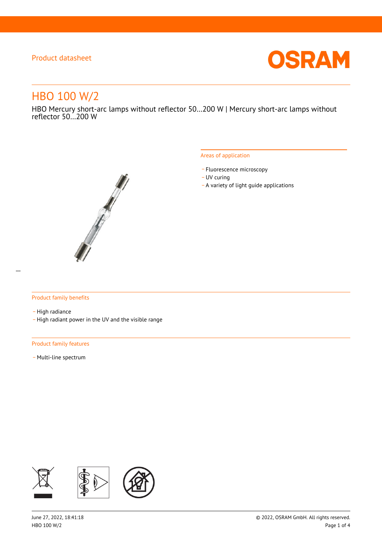

# HBO 100 W/2

HBO Mercury short-arc lamps without reflector 50…200 W | Mercury short-arc lamps without reflector 50…200 W



#### Areas of application

- Fluorescence microscopy
- UV curing
- \_ A variety of light guide applications

### Product family benefits

- High radiance
- \_ High radiant power in the UV and the visible range

#### Product family features

- Multi-line spectrum

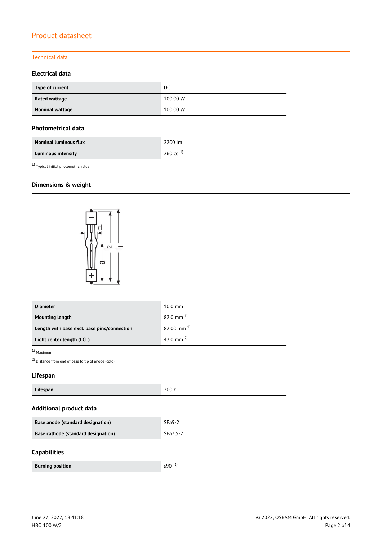# Technical data

# **Electrical data**

| Type of current | DC       |
|-----------------|----------|
| Rated wattage   | 100.00 W |
| Nominal wattage | 100.00 W |

#### **Photometrical data**

| <b>Nominal luminous flux</b> | 2200 lm       |  |
|------------------------------|---------------|--|
| <b>Luminous intensity</b>    | 260 cd $^{1}$ |  |

1) Typical initial photometric value

# **Dimensions & weight**



| <b>Diameter</b>                             | $10.0 \text{ mm}$      |  |
|---------------------------------------------|------------------------|--|
| <b>Mounting length</b>                      | $82.0 \text{ mm}^{-1}$ |  |
| Length with base excl. base pins/connection | 82.00 mm $^{1}$        |  |
| Light center length (LCL)                   | 43.0 mm $^{2)}$        |  |

### 1) Maximum

2) Distance from end of base to tip of anode (cold)

### **Lifespan**

| 200 h<br>$-1$<br>Lifespan |  |
|---------------------------|--|
|---------------------------|--|

# **Additional product data**

| Base anode (standard designation)   | $SFa9-2$ |
|-------------------------------------|----------|
| Base cathode (standard designation) | SFa7.5-2 |

#### **Capabilities**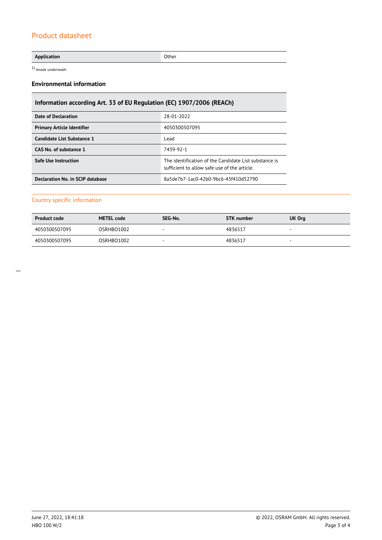#### **Application** Other

1) Anode underneath

### **Environmental information**

# **Information according Art. 33 of EU Regulation (EC) 1907/2006 (REACh)**

| <b>Date of Declaration</b>        | 28-01-2022                                                                                            |
|-----------------------------------|-------------------------------------------------------------------------------------------------------|
| <b>Primary Article Identifier</b> | 4050300507095                                                                                         |
| Candidate List Substance 1        | Lead                                                                                                  |
| CAS No. of substance 1            | 7439-92-1                                                                                             |
| <b>Safe Use Instruction</b>       | The identification of the Candidate List substance is<br>sufficient to allow safe use of the article. |
| Declaration No. in SCIP database  | 8a5de7b7-1ac0-42b0-9bc6-43f410d52790                                                                  |

#### Country specific information

| <b>Product code</b> | <b>METEL code</b> | SEG-No. | STK number | UK Org                   |
|---------------------|-------------------|---------|------------|--------------------------|
| 4050300507095       | OSRHBO1002        | -       | 4836517    | $\overline{\phantom{a}}$ |
| 4050300507095       | OSRHBO1002        | -       | 4836517    | $\overline{\phantom{a}}$ |